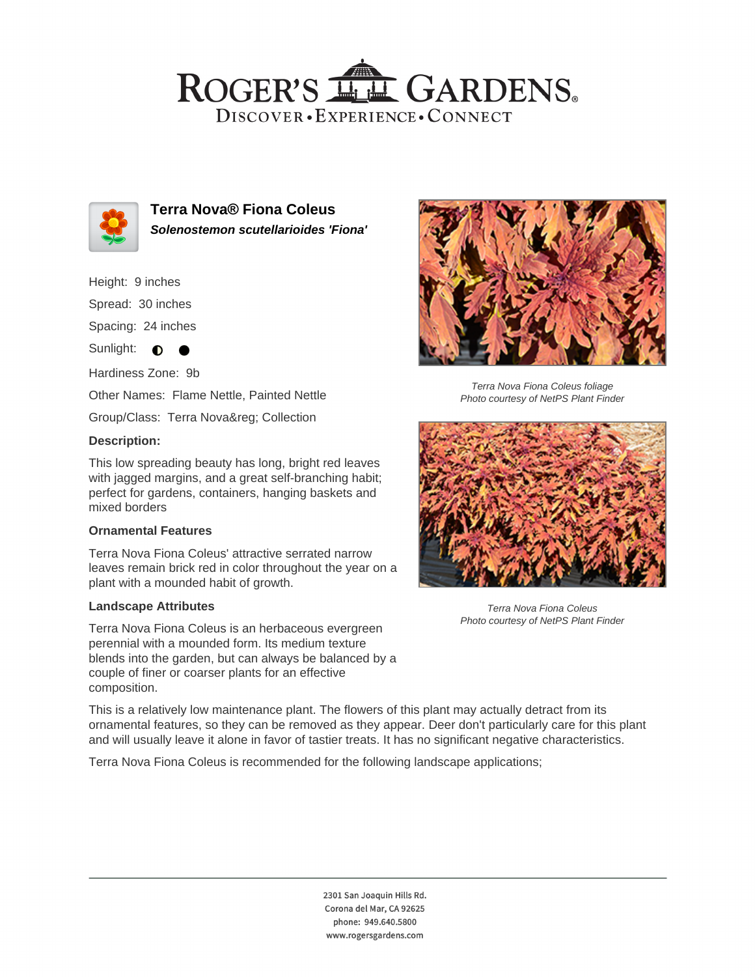## ROGER'S LL GARDENS. DISCOVER · EXPERIENCE · CONNECT



**Terra Nova® Fiona Coleus Solenostemon scutellarioides 'Fiona'**

Height: 9 inches

Spread: 30 inches

Spacing: 24 inches

Sunlight: **O** 

Hardiness Zone: 9b

Other Names: Flame Nettle, Painted Nettle

Group/Class: Terra Nova® Collection

## **Description:**

This low spreading beauty has long, bright red leaves with jagged margins, and a great self-branching habit; perfect for gardens, containers, hanging baskets and mixed borders

## **Ornamental Features**

Terra Nova Fiona Coleus' attractive serrated narrow leaves remain brick red in color throughout the year on a plant with a mounded habit of growth.

#### **Landscape Attributes**

Terra Nova Fiona Coleus is an herbaceous evergreen perennial with a mounded form. Its medium texture blends into the garden, but can always be balanced by a couple of finer or coarser plants for an effective composition.



Terra Nova Fiona Coleus foliage Photo courtesy of NetPS Plant Finder



Terra Nova Fiona Coleus Photo courtesy of NetPS Plant Finder

This is a relatively low maintenance plant. The flowers of this plant may actually detract from its ornamental features, so they can be removed as they appear. Deer don't particularly care for this plant and will usually leave it alone in favor of tastier treats. It has no significant negative characteristics.

Terra Nova Fiona Coleus is recommended for the following landscape applications;

2301 San Joaquin Hills Rd. Corona del Mar, CA 92625 phone: 949.640.5800 www.rogersgardens.com